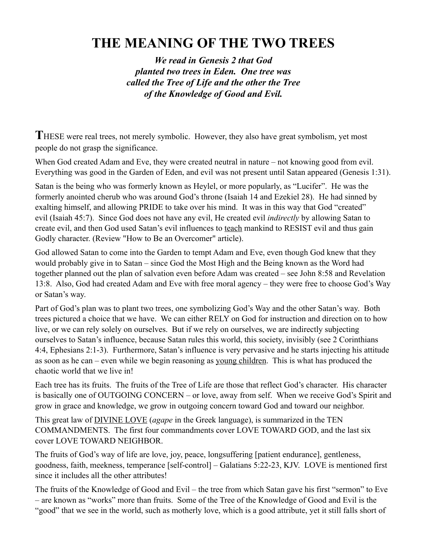## **THE MEANING OF THE TWO TREES**

*We read in Genesis 2 that God planted two trees in Eden. One tree was called the Tree of Life and the other the Tree of the Knowledge of Good and Evil.*

THESE were real trees, not merely symbolic. However, they also have great symbolism, yet most people do not grasp the significance.

When God created Adam and Eve, they were created neutral in nature – not knowing good from evil. Everything was good in the Garden of Eden, and evil was not present until Satan appeared (Genesis 1:31).

Satan is the being who was formerly known as Heylel, or more popularly, as "Lucifer". He was the formerly anointed cherub who was around God's throne (Isaiah 14 and Ezekiel 28). He had sinned by exalting himself, and allowing PRIDE to take over his mind. It was in this way that God "created" evil (Isaiah 45:7). Since God does not have any evil, He created evil *indirectly* by allowing Satan to create evil, and then God used Satan's evil influences to [teach](http://www.thebiblefund.org/?page_id=143) mankind to RESIST evil and thus gain Godly character. (Review ["How to Be an Overcomer"](http://66.147.244.197/%257Ebiblefun/?page_id=242) article).

God allowed Satan to come into the Garden to tempt Adam and Eve, even though God knew that they would probably give in to Satan – since God the Most High and the Being known as the Word had together planned out the plan of salvation even before Adam was created – see John 8:58 and Revelation 13:8. Also, God had created Adam and Eve with free moral agency – they were free to choose God's Way or Satan's way.

Part of God's plan was to plant two trees, one symbolizing God's Way and the other Satan's way. Both trees pictured a choice that we have. We can either RELY on God for instruction and direction on to how live, or we can rely solely on ourselves. But if we rely on ourselves, we are indirectly subjecting ourselves to Satan's influence, because Satan rules this world, this society, invisibly (see 2 Corinthians 4:4, Ephesians 2:1-3). Furthermore, Satan's influence is very pervasive and he starts injecting his attitude as soon as he can – even while we begin reasoning as [young children.](http://www.thebiblefund.org/?page_id=143) This is what has produced the chaotic world that we live in!

Each tree has its fruits. The fruits of the Tree of Life are those that reflect God's character. His character is basically one of OUTGOING CONCERN – or love, away from self. When we receive God's Spirit and grow in grace and knowledge, we grow in outgoing concern toward God and toward our neighbor.

This great law of [DIVINE LOVE](http://www.thebiblefund.org/?page_id=143) (*agape* in the Greek language), is summarized in the TEN COMMANDMENTS. The first four commandments cover LOVE TOWARD GOD, and the last six cover LOVE TOWARD NEIGHBOR.

The fruits of God's way of life are love, joy, peace, longsuffering [patient endurance], gentleness, goodness, faith, meekness, temperance [self-control] – Galatians 5:22-23, KJV. LOVE is mentioned first since it includes all the other attributes!

The fruits of the Knowledge of Good and Evil – the tree from which Satan gave his first "sermon" to Eve – are known as "works" more than fruits. Some of the Tree of the Knowledge of Good and Evil is the "good" that we see in the world, such as motherly love, which is a good attribute, yet it still falls short of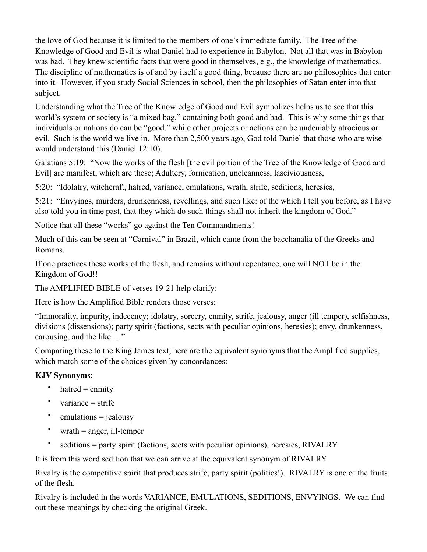the love of God because it is limited to the members of one's immediate family. The Tree of the Knowledge of Good and Evil is what Daniel had to experience in Babylon. Not all that was in Babylon was bad. They knew scientific facts that were good in themselves, e.g., the knowledge of mathematics. The discipline of mathematics is of and by itself a good thing, because there are no philosophies that enter into it. However, if you study Social Sciences in school, then the philosophies of Satan enter into that subject.

Understanding what the Tree of the Knowledge of Good and Evil symbolizes helps us to see that this world's system or society is "a mixed bag," containing both good and bad. This is why some things that individuals or nations do can be "good," while other projects or actions can be undeniably atrocious or evil. Such is the world we live in. More than 2,500 years ago, God told Daniel that those who are wise would understand this (Daniel 12:10).

Galatians 5:19: "Now the works of the flesh [the evil portion of the Tree of the Knowledge of Good and Evil] are manifest, which are these; Adultery, fornication, uncleanness, lasciviousness,

5:20: "Idolatry, witchcraft, hatred, variance, emulations, wrath, strife, seditions, heresies,

5:21: "Envyings, murders, drunkenness, revellings, and such like: of the which I tell you before, as I have also told you in time past, that they which do such things shall not inherit the kingdom of God."

Notice that all these "works" go against the Ten Commandments!

Much of this can be seen at "Carnival" in Brazil, which came from the bacchanalia of the Greeks and Romans.

If one practices these works of the flesh, and remains without repentance, one will NOT be in the Kingdom of God!!

The AMPLIFIED BIBLE of verses 19-21 help clarify:

Here is how the Amplified Bible renders those verses:

"Immorality, impurity, indecency; idolatry, sorcery, enmity, strife, jealousy, anger (ill temper), selfishness, divisions (dissensions); party spirit (factions, sects with peculiar opinions, heresies); envy, drunkenness, carousing, and the like …"

Comparing these to the King James text, here are the equivalent synonyms that the Amplified supplies, which match some of the choices given by concordances:

## **KJV Synonyms**:

- hatred  $=$  enmity
- variance  $=$  strife
- emulations  $=$  jealousy
- wrath  $=$  anger, ill-temper
- seditions = party spirit (factions, sects with peculiar opinions), heresies, RIVALRY

It is from this word sedition that we can arrive at the equivalent synonym of RIVALRY.

Rivalry is the competitive spirit that produces strife, party spirit (politics!). RIVALRY is one of the fruits of the flesh.

Rivalry is included in the words VARIANCE, EMULATIONS, SEDITIONS, ENVYINGS. We can find out these meanings by checking the original Greek.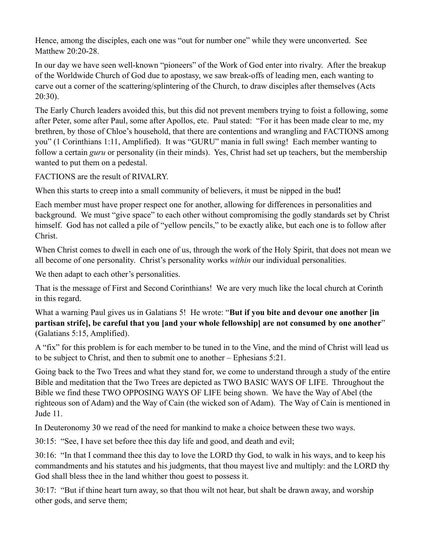Hence, among the disciples, each one was "out for number one" while they were unconverted. See Matthew 20:20-28.

In our day we have seen well-known "pioneers" of the Work of God enter into rivalry. After the breakup of the Worldwide Church of God due to apostasy, we saw break-offs of leading men, each wanting to carve out a corner of the scattering/splintering of the Church, to draw disciples after themselves (Acts 20:30).

The Early Church leaders avoided this, but this did not prevent members trying to foist a following, some after Peter, some after Paul, some after Apollos, etc. Paul stated: "For it has been made clear to me, my brethren, by those of Chloe's household, that there are contentions and wrangling and FACTIONS among you" (1 Corinthians 1:11, Amplified). It was "GURU" mania in full swing! Each member wanting to follow a certain *guru* or personality (in their minds). Yes, Christ had set up teachers, but the membership wanted to put them on a pedestal.

FACTIONS are the result of RIVALRY.

When this starts to creep into a small community of believers, it must be nipped in the bud**!**

Each member must have proper respect one for another, allowing for differences in personalities and background. We must "give space" to each other without compromising the godly standards set by Christ himself. God has not called a pile of "yellow pencils," to be exactly alike, but each one is to follow after Christ.

When Christ comes to dwell in each one of us, through the work of the Holy Spirit, that does not mean we all become of one personality. Christ's personality works *within* our individual personalities.

We then adapt to each other's personalities.

That is the message of First and Second Corinthians! We are very much like the local church at Corinth in this regard.

What a warning Paul gives us in Galatians 5! He wrote: "**But if you bite and devour one another [in partisan strife], be careful that you [and your whole fellowship] are not consumed by one another**" (Galatians 5:15, Amplified).

A "fix" for this problem is for each member to be tuned in to the Vine, and the mind of Christ will lead us to be subject to Christ, and then to submit one to another – Ephesians 5:21.

Going back to the Two Trees and what they stand for, we come to understand through a study of the entire Bible and meditation that the Two Trees are depicted as TWO BASIC WAYS OF LIFE. Throughout the Bible we find these TWO OPPOSING WAYS OF LIFE being shown. We have the Way of Abel (the righteous son of Adam) and the Way of Cain (the wicked son of Adam). The Way of Cain is mentioned in Jude 11.

In Deuteronomy 30 we read of the need for mankind to make a choice between these two ways.

30:15: "See, I have set before thee this day life and good, and death and evil;

30:16: "In that I command thee this day to love the LORD thy God, to walk in his ways, and to keep his commandments and his statutes and his judgments, that thou mayest live and multiply: and the LORD thy God shall bless thee in the land whither thou goest to possess it.

30:17: "But if thine heart turn away, so that thou wilt not hear, but shalt be drawn away, and worship other gods, and serve them;